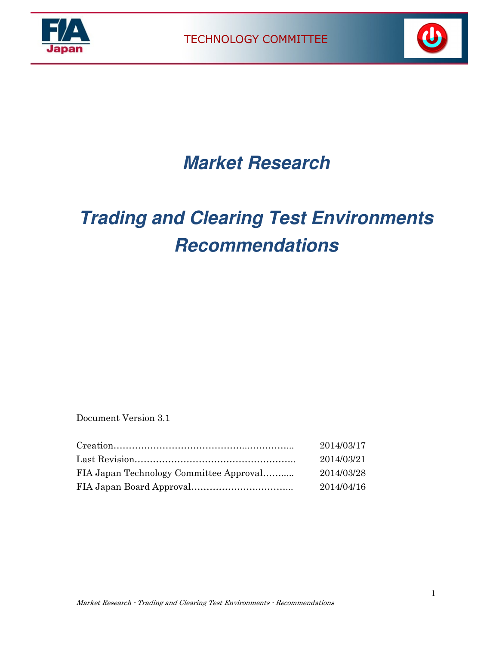





## **Market Research**

# **Trading and Clearing Test Environments Recommendations**

Document Version 3.1

| 2014/03/17 |
|------------|
| 2014/03/21 |
| 2014/03/28 |
| 2014/04/16 |
|            |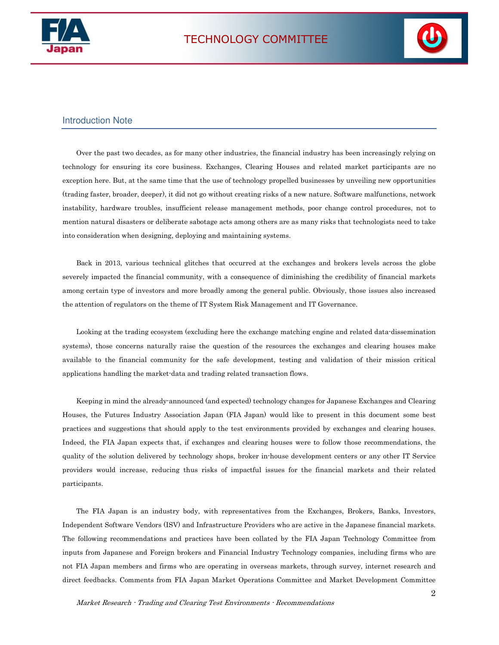



#### Introduction Note

Over the past two decades, as for many other industries, the financial industry has been increasingly relying on technology for ensuring its core business. Exchanges, Clearing Houses and related market participants are no exception here. But, at the same time that the use of technology propelled businesses by unveiling new opportunities (trading faster, broader, deeper), it did not go without creating risks of a new nature. Software malfunctions, network instability, hardware troubles, insufficient release management methods, poor change control procedures, not to mention natural disasters or deliberate sabotage acts among others are as many risks that technologists need to take into consideration when designing, deploying and maintaining systems.

Back in 2013, various technical glitches that occurred at the exchanges and brokers levels across the globe severely impacted the financial community, with a consequence of diminishing the credibility of financial markets among certain type of investors and more broadly among the general public. Obviously, those issues also increased the attention of regulators on the theme of IT System Risk Management and IT Governance.

Looking at the trading ecosystem (excluding here the exchange matching engine and related data-dissemination systems), those concerns naturally raise the question of the resources the exchanges and clearing houses make available to the financial community for the safe development, testing and validation of their mission critical applications handling the market-data and trading related transaction flows.

Keeping in mind the already-announced (and expected) technology changes for Japanese Exchanges and Clearing Houses, the Futures Industry Association Japan (FIA Japan) would like to present in this document some best practices and suggestions that should apply to the test environments provided by exchanges and clearing houses. Indeed, the FIA Japan expects that, if exchanges and clearing houses were to follow those recommendations, the quality of the solution delivered by technology shops, broker in-house development centers or any other IT Service providers would increase, reducing thus risks of impactful issues for the financial markets and their related participants.

The FIA Japan is an industry body, with representatives from the Exchanges, Brokers, Banks, Investors, Independent Software Vendors (ISV) and Infrastructure Providers who are active in the Japanese financial markets. The following recommendations and practices have been collated by the FIA Japan Technology Committee from inputs from Japanese and Foreign brokers and Financial Industry Technology companies, including firms who are not FIA Japan members and firms who are operating in overseas markets, through survey, internet research and direct feedbacks. Comments from FIA Japan Market Operations Committee and Market Development Committee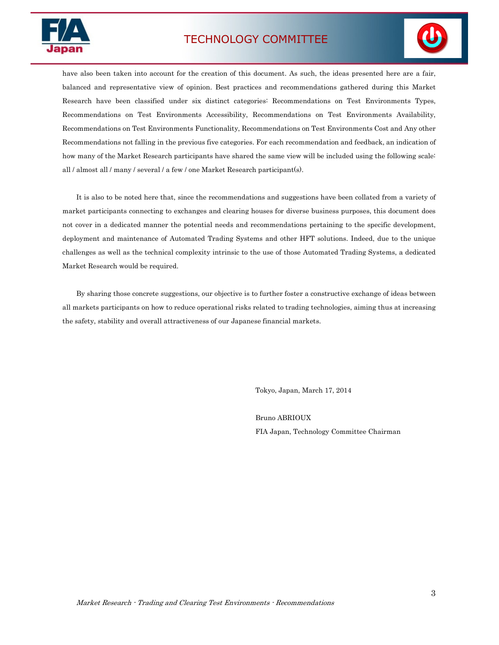## TECHNOLOGY COMMITTEE





have also been taken into account for the creation of this document. As such, the ideas presented here are a fair, balanced and representative view of opinion. Best practices and recommendations gathered during this Market Research have been classified under six distinct categories: Recommendations on Test Environments Types, Recommendations on Test Environments Accessibility, Recommendations on Test Environments Availability, Recommendations on Test Environments Functionality, Recommendations on Test Environments Cost and Any other Recommendations not falling in the previous five categories. For each recommendation and feedback, an indication of how many of the Market Research participants have shared the same view will be included using the following scale: all / almost all / many / several / a few / one Market Research participant(s).

It is also to be noted here that, since the recommendations and suggestions have been collated from a variety of market participants connecting to exchanges and clearing houses for diverse business purposes, this document does not cover in a dedicated manner the potential needs and recommendations pertaining to the specific development, deployment and maintenance of Automated Trading Systems and other HFT solutions. Indeed, due to the unique challenges as well as the technical complexity intrinsic to the use of those Automated Trading Systems, a dedicated Market Research would be required.

By sharing those concrete suggestions, our objective is to further foster a constructive exchange of ideas between all markets participants on how to reduce operational risks related to trading technologies, aiming thus at increasing the safety, stability and overall attractiveness of our Japanese financial markets.

Tokyo, Japan, March 17, 2014

 Bruno ABRIOUX FIA Japan, Technology Committee Chairman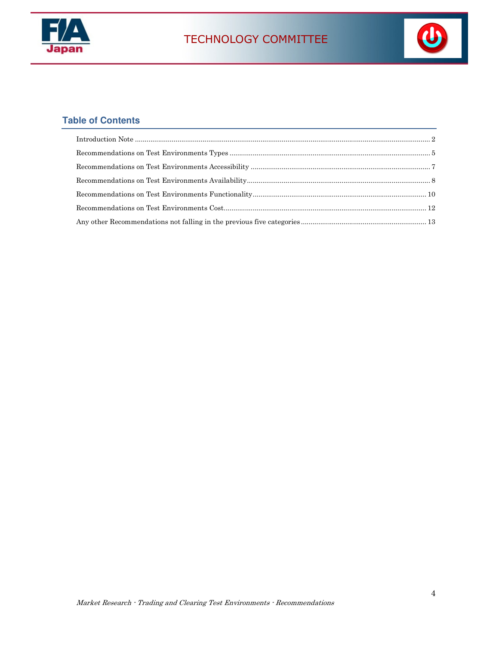



### **Table of Contents**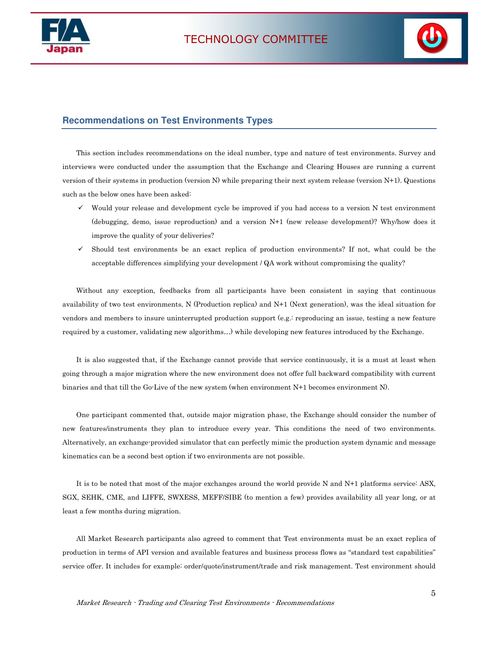



#### **Recommendations on Test Environments Types**

This section includes recommendations on the ideal number, type and nature of test environments. Survey and interviews were conducted under the assumption that the Exchange and Clearing Houses are running a current version of their systems in production (version N) while preparing their next system release (version N+1). Questions such as the below ones have been asked:

- $\checkmark$  Would your release and development cycle be improved if you had access to a version N test environment (debugging, demo, issue reproduction) and a version N+1 (new release development)? Why/how does it improve the quality of your deliveries?
- Should test environments be an exact replica of production environments? If not, what could be the acceptable differences simplifying your development / QA work without compromising the quality?

Without any exception, feedbacks from all participants have been consistent in saying that continuous availability of two test environments, N (Production replica) and N+1 (Next generation), was the ideal situation for vendors and members to insure uninterrupted production support (e.g.: reproducing an issue, testing a new feature required by a customer, validating new algorithms…) while developing new features introduced by the Exchange.

It is also suggested that, if the Exchange cannot provide that service continuously, it is a must at least when going through a major migration where the new environment does not offer full backward compatibility with current binaries and that till the Go-Live of the new system (when environment N+1 becomes environment N).

One participant commented that, outside major migration phase, the Exchange should consider the number of new features/instruments they plan to introduce every year. This conditions the need of two environments. Alternatively, an exchange-provided simulator that can perfectly mimic the production system dynamic and message kinematics can be a second best option if two environments are not possible.

It is to be noted that most of the major exchanges around the world provide N and N+1 platforms service: ASX, SGX, SEHK, CME, and LIFFE, SWXESS, MEFF/SIBE (to mention a few) provides availability all year long, or at least a few months during migration.

All Market Research participants also agreed to comment that Test environments must be an exact replica of production in terms of API version and available features and business process flows as "standard test capabilities" service offer. It includes for example: order/quote/instrument/trade and risk management. Test environment should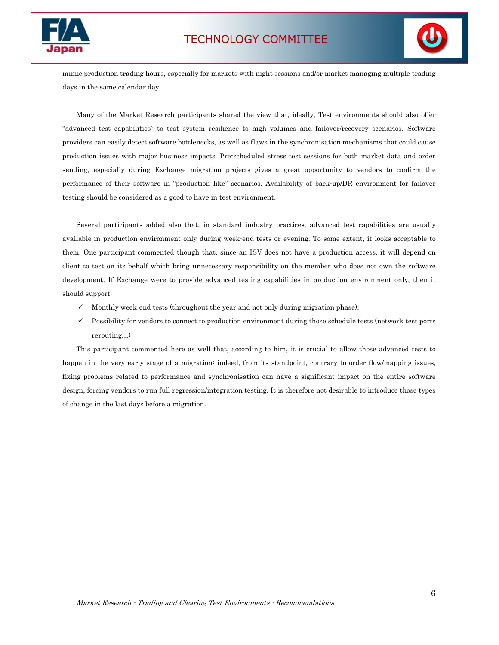





mimic production trading hours, especially for markets with night sessions and/or market managing multiple trading days in the same calendar day.

Many of the Market Research participants shared the view that, ideally, Test environments should also offer "advanced test capabilities" to test system resilience to high volumes and failover/recovery scenarios. Software providers can easily detect software bottlenecks, as well as flaws in the synchronisation mechanisms that could cause production issues with major business impacts. Pre-scheduled stress test sessions for both market data and order sending, especially during Exchange migration projects gives a great opportunity to vendors to confirm the performance of their software in "production like" scenarios. Availability of back-up/DR environment for failover testing should be considered as a good to have in test environment.

Several participants added also that, in standard industry practices, advanced test capabilities are usually available in production environment only during week-end tests or evening. To some extent, it looks acceptable to them. One participant commented though that, since an ISV does not have a production access, it will depend on client to test on its behalf which bring unnecessary responsibility on the member who does not own the software development. If Exchange were to provide advanced testing capabilities in production environment only, then it should support:

- $\checkmark$  Monthly week-end tests (throughout the year and not only during migration phase).
- $\checkmark$  Possibility for vendors to connect to production environment during those schedule tests (network test ports rerouting…)

This participant commented here as well that, according to him, it is crucial to allow those advanced tests to happen in the very early stage of a migration: indeed, from its standpoint, contrary to order flow/mapping issues, fixing problems related to performance and synchronisation can have a significant impact on the entire software design, forcing vendors to run full regression/integration testing. It is therefore not desirable to introduce those types of change in the last days before a migration.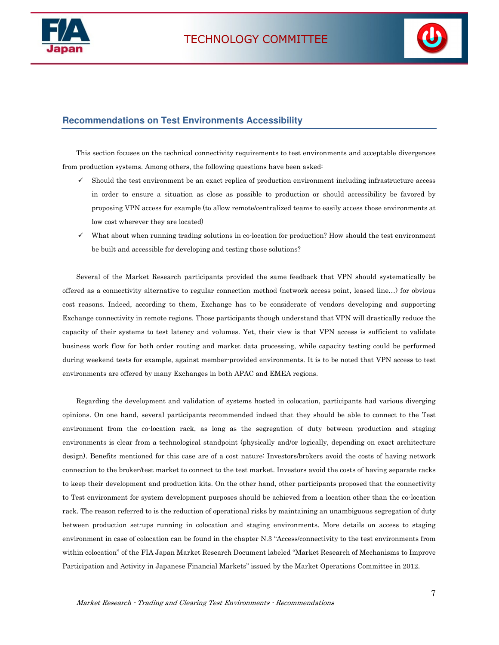



#### **Recommendations on Test Environments Accessibility**

This section focuses on the technical connectivity requirements to test environments and acceptable divergences from production systems. Among others, the following questions have been asked:

- Should the test environment be an exact replica of production environment including infrastructure access in order to ensure a situation as close as possible to production or should accessibility be favored by proposing VPN access for example (to allow remote/centralized teams to easily access those environments at low cost wherever they are located)
- $\checkmark$  What about when running trading solutions in co-location for production? How should the test environment be built and accessible for developing and testing those solutions?

Several of the Market Research participants provided the same feedback that VPN should systematically be offered as a connectivity alternative to regular connection method (network access point, leased line…) for obvious cost reasons. Indeed, according to them, Exchange has to be considerate of vendors developing and supporting Exchange connectivity in remote regions. Those participants though understand that VPN will drastically reduce the capacity of their systems to test latency and volumes. Yet, their view is that VPN access is sufficient to validate business work flow for both order routing and market data processing, while capacity testing could be performed during weekend tests for example, against member-provided environments. It is to be noted that VPN access to test environments are offered by many Exchanges in both APAC and EMEA regions.

Regarding the development and validation of systems hosted in colocation, participants had various diverging opinions. On one hand, several participants recommended indeed that they should be able to connect to the Test environment from the co-location rack, as long as the segregation of duty between production and staging environments is clear from a technological standpoint (physically and/or logically, depending on exact architecture design). Benefits mentioned for this case are of a cost nature: Investors/brokers avoid the costs of having network connection to the broker/test market to connect to the test market. Investors avoid the costs of having separate racks to keep their development and production kits. On the other hand, other participants proposed that the connectivity to Test environment for system development purposes should be achieved from a location other than the co-location rack. The reason referred to is the reduction of operational risks by maintaining an unambiguous segregation of duty between production set-ups running in colocation and staging environments. More details on access to staging environment in case of colocation can be found in the chapter N.3 "Access/connectivity to the test environments from within colocation" of the FIA Japan Market Research Document labeled "Market Research of Mechanisms to Improve Participation and Activity in Japanese Financial Markets" issued by the Market Operations Committee in 2012.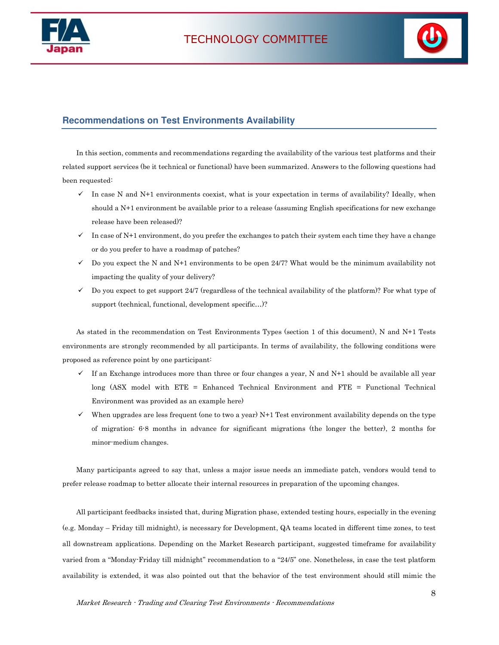



#### **Recommendations on Test Environments Availability**

In this section, comments and recommendations regarding the availability of the various test platforms and their related support services (be it technical or functional) have been summarized. Answers to the following questions had been requested:

- $\checkmark$  In case N and N+1 environments coexist, what is your expectation in terms of availability? Ideally, when should a N+1 environment be available prior to a release (assuming English specifications for new exchange release have been released)?
- $\checkmark$  In case of N+1 environment, do you prefer the exchanges to patch their system each time they have a change or do you prefer to have a roadmap of patches?
- $\checkmark$  Do you expect the N and N+1 environments to be open 24/7? What would be the minimum availability not impacting the quality of your delivery?
- $\checkmark$  Do you expect to get support 24/7 (regardless of the technical availability of the platform)? For what type of support (technical, functional, development specific…)?

As stated in the recommendation on Test Environments Types (section 1 of this document), N and N+1 Tests environments are strongly recommended by all participants. In terms of availability, the following conditions were proposed as reference point by one participant:

- $\checkmark$  If an Exchange introduces more than three or four changes a year, N and N+1 should be available all year long (ASX model with ETE = Enhanced Technical Environment and FTE = Functional Technical Environment was provided as an example here)
- When upgrades are less frequent (one to two a year) N+1 Test environment availability depends on the type of migration: 6-8 months in advance for significant migrations (the longer the better), 2 months for minor-medium changes.

Many participants agreed to say that, unless a major issue needs an immediate patch, vendors would tend to prefer release roadmap to better allocate their internal resources in preparation of the upcoming changes.

All participant feedbacks insisted that, during Migration phase, extended testing hours, especially in the evening (e.g. Monday – Friday till midnight), is necessary for Development, QA teams located in different time zones, to test all downstream applications. Depending on the Market Research participant, suggested timeframe for availability varied from a "Monday-Friday till midnight" recommendation to a "24/5" one. Nonetheless, in case the test platform availability is extended, it was also pointed out that the behavior of the test environment should still mimic the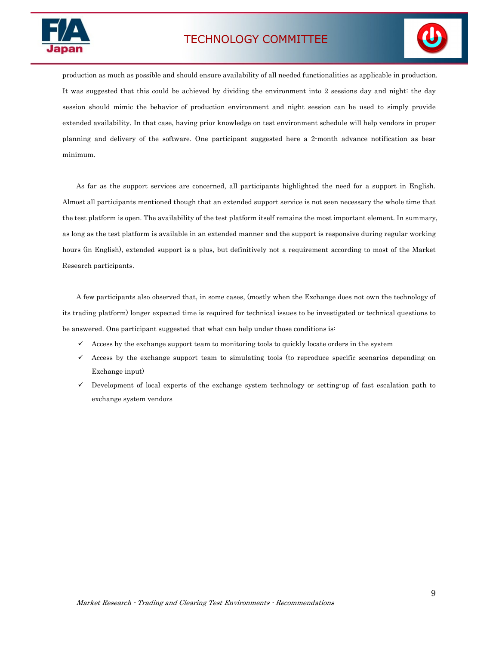

## TECHNOLOGY COMMITTEE



production as much as possible and should ensure availability of all needed functionalities as applicable in production. It was suggested that this could be achieved by dividing the environment into 2 sessions day and night: the day session should mimic the behavior of production environment and night session can be used to simply provide extended availability. In that case, having prior knowledge on test environment schedule will help vendors in proper planning and delivery of the software. One participant suggested here a 2-month advance notification as bear minimum.

As far as the support services are concerned, all participants highlighted the need for a support in English. Almost all participants mentioned though that an extended support service is not seen necessary the whole time that the test platform is open. The availability of the test platform itself remains the most important element. In summary, as long as the test platform is available in an extended manner and the support is responsive during regular working hours (in English), extended support is a plus, but definitively not a requirement according to most of the Market Research participants.

A few participants also observed that, in some cases, (mostly when the Exchange does not own the technology of its trading platform) longer expected time is required for technical issues to be investigated or technical questions to be answered. One participant suggested that what can help under those conditions is:

- Access by the exchange support team to monitoring tools to quickly locate orders in the system
- $\checkmark$  Access by the exchange support team to simulating tools (to reproduce specific scenarios depending on Exchange input)
- Development of local experts of the exchange system technology or setting-up of fast escalation path to exchange system vendors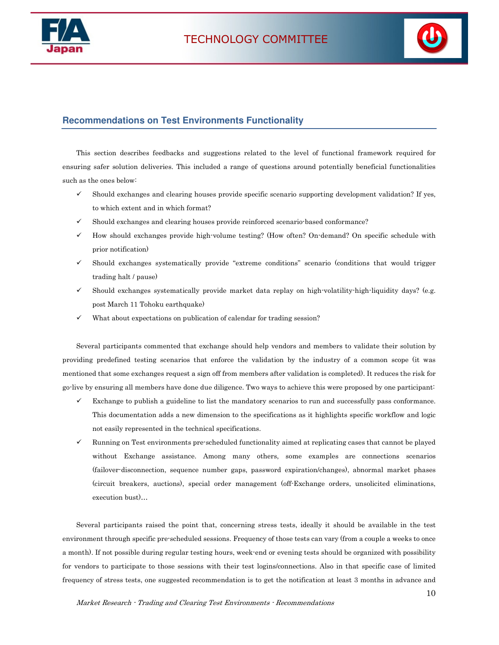



#### **Recommendations on Test Environments Functionality**

This section describes feedbacks and suggestions related to the level of functional framework required for ensuring safer solution deliveries. This included a range of questions around potentially beneficial functionalities such as the ones below:

- $\checkmark$  Should exchanges and clearing houses provide specific scenario supporting development validation? If yes, to which extent and in which format?
- Should exchanges and clearing houses provide reinforced scenario-based conformance?
- $\checkmark$  How should exchanges provide high-volume testing? (How often? On-demand? On specific schedule with prior notification)
- $\checkmark$  Should exchanges systematically provide "extreme conditions" scenario (conditions that would trigger trading halt / pause)
- Should exchanges systematically provide market data replay on high-volatility-high-liquidity days? (e.g. post March 11 Tohoku earthquake)
- $\checkmark$  What about expectations on publication of calendar for trading session?

Several participants commented that exchange should help vendors and members to validate their solution by providing predefined testing scenarios that enforce the validation by the industry of a common scope (it was mentioned that some exchanges request a sign off from members after validation is completed). It reduces the risk for go-live by ensuring all members have done due diligence. Two ways to achieve this were proposed by one participant:

- $\checkmark$  Exchange to publish a guideline to list the mandatory scenarios to run and successfully pass conformance. This documentation adds a new dimension to the specifications as it highlights specific workflow and logic not easily represented in the technical specifications.
- $\checkmark$  Running on Test environments pre-scheduled functionality aimed at replicating cases that cannot be played without Exchange assistance. Among many others, some examples are connections scenarios (failover-disconnection, sequence number gaps, password expiration/changes), abnormal market phases (circuit breakers, auctions), special order management (off-Exchange orders, unsolicited eliminations, execution bust)…

Several participants raised the point that, concerning stress tests, ideally it should be available in the test environment through specific pre-scheduled sessions. Frequency of those tests can vary (from a couple a weeks to once a month). If not possible during regular testing hours, week-end or evening tests should be organized with possibility for vendors to participate to those sessions with their test logins/connections. Also in that specific case of limited frequency of stress tests, one suggested recommendation is to get the notification at least 3 months in advance and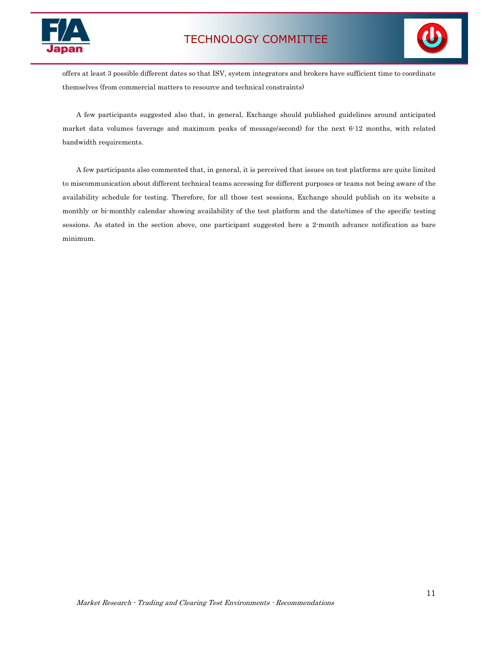



offers at least 3 possible different dates so that ISV, system integrators and brokers have sufficient time to coordinate themselves (from commercial matters to resource and technical constraints)

A few participants suggested also that, in general, Exchange should published guidelines around anticipated market data volumes (average and maximum peaks of message/second) for the next 6-12 months, with related bandwidth requirements.

A few participants also commented that, in general, it is perceived that issues on test platforms are quite limited to miscommunication about different technical teams accessing for different purposes or teams not being aware of the availability schedule for testing. Therefore, for all those test sessions, Exchange should publish on its website a monthly or bi-monthly calendar showing availability of the test platform and the date/times of the specific testing sessions. As stated in the section above, one participant suggested here a 2-month advance notification as bare minimum.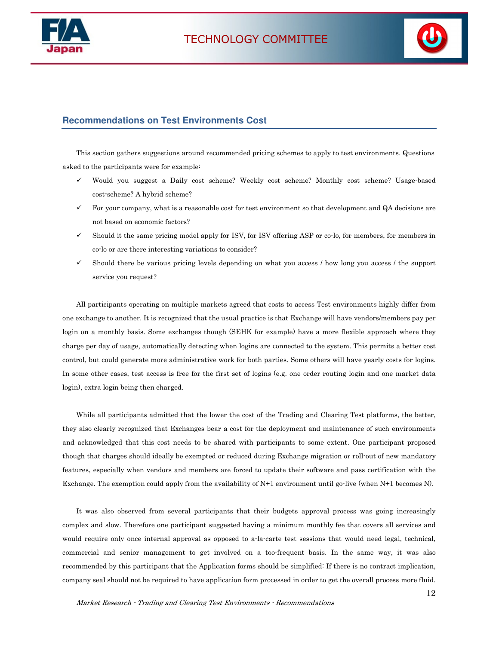



#### **Recommendations on Test Environments Cost**

This section gathers suggestions around recommended pricing schemes to apply to test environments. Questions asked to the participants were for example:

- Would you suggest a Daily cost scheme? Weekly cost scheme? Monthly cost scheme? Usage-based cost-scheme? A hybrid scheme?
- For your company, what is a reasonable cost for test environment so that development and QA decisions are not based on economic factors?
- $\checkmark$  Should it the same pricing model apply for ISV, for ISV offering ASP or co-lo, for members, for members in co-lo or are there interesting variations to consider?
- $\checkmark$  Should there be various pricing levels depending on what you access / how long you access / the support service you request?

All participants operating on multiple markets agreed that costs to access Test environments highly differ from one exchange to another. It is recognized that the usual practice is that Exchange will have vendors/members pay per login on a monthly basis. Some exchanges though (SEHK for example) have a more flexible approach where they charge per day of usage, automatically detecting when logins are connected to the system. This permits a better cost control, but could generate more administrative work for both parties. Some others will have yearly costs for logins. In some other cases, test access is free for the first set of logins (e.g. one order routing login and one market data login), extra login being then charged.

While all participants admitted that the lower the cost of the Trading and Clearing Test platforms, the better, they also clearly recognized that Exchanges bear a cost for the deployment and maintenance of such environments and acknowledged that this cost needs to be shared with participants to some extent. One participant proposed though that charges should ideally be exempted or reduced during Exchange migration or roll-out of new mandatory features, especially when vendors and members are forced to update their software and pass certification with the Exchange. The exemption could apply from the availability of N+1 environment until go-live (when N+1 becomes N).

It was also observed from several participants that their budgets approval process was going increasingly complex and slow. Therefore one participant suggested having a minimum monthly fee that covers all services and would require only once internal approval as opposed to a-la-carte test sessions that would need legal, technical, commercial and senior management to get involved on a too-frequent basis. In the same way, it was also recommended by this participant that the Application forms should be simplified: If there is no contract implication, company seal should not be required to have application form processed in order to get the overall process more fluid.